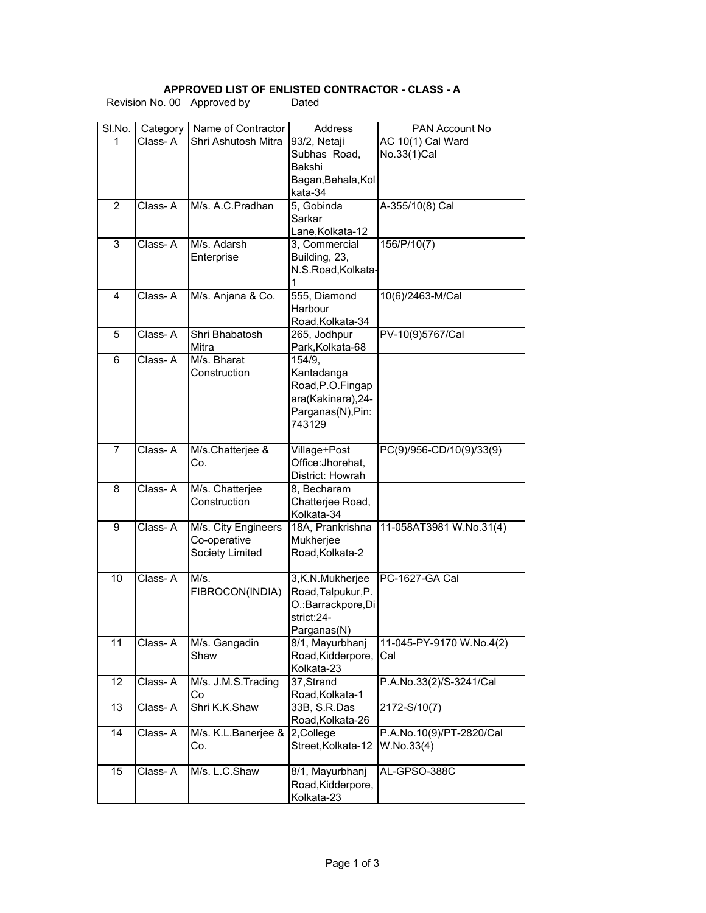## **APPROVED LIST OF ENLISTED CONTRACTOR - CLASS - A**

| SI.No.         | Category | Name of Contractor  | Address                        | PAN Account No           |
|----------------|----------|---------------------|--------------------------------|--------------------------|
| 1              | Class-A  | Shri Ashutosh Mitra | 93/2, Netaji                   | AC 10(1) Cal Ward        |
|                |          |                     | Subhas Road,                   | No.33(1)Cal              |
|                |          |                     | Bakshi                         |                          |
|                |          |                     | Bagan, Behala, Kol             |                          |
|                |          |                     | kata-34                        |                          |
| $\overline{2}$ | Class-A  | M/s. A.C.Pradhan    | 5, Gobinda                     | A-355/10(8) Cal          |
|                |          |                     | Sarkar                         |                          |
|                |          |                     | Lane, Kolkata-12               |                          |
| 3              | Class-A  | M/s. Adarsh         | 3, Commercial                  | 156/P/10(7)              |
|                |          | Enterprise          | Building, 23,                  |                          |
|                |          |                     | N.S.Road, Kolkata-             |                          |
|                |          |                     | 1                              |                          |
| 4              | Class-A  | M/s. Anjana & Co.   | 555, Diamond                   | 10(6)/2463-M/Cal         |
|                |          |                     | Harbour                        |                          |
|                |          |                     | Road, Kolkata-34               |                          |
| 5              | Class-A  | Shri Bhabatosh      | 265, Jodhpur                   | PV-10(9)5767/Cal         |
|                |          | Mitra               | Park, Kolkata-68               |                          |
| 6              | Class-A  | M/s. Bharat         | 154/9,                         |                          |
|                |          | Construction        | Kantadanga                     |                          |
|                |          |                     | Road, P.O. Fingap              |                          |
|                |          |                     | ara(Kakinara), 24-             |                          |
|                |          |                     | Parganas(N), Pin:              |                          |
|                |          |                     | 743129                         |                          |
|                |          |                     |                                |                          |
| $\overline{7}$ | Class-A  | M/s.Chatterjee &    | Village+Post                   | PC(9)/956-CD/10(9)/33(9) |
|                |          | Co.                 | Office: Jhorehat,              |                          |
|                |          |                     | District: Howrah               |                          |
| 8              | Class-A  | M/s. Chatterjee     | 8, Becharam                    |                          |
|                |          | Construction        | Chatterjee Road,               |                          |
| 9              | Class-A  | M/s. City Engineers | Kolkata-34<br>18A, Prankrishna | 11-058AT3981 W.No.31(4)  |
|                |          | Co-operative        | Mukherjee                      |                          |
|                |          | Society Limited     | Road, Kolkata-2                |                          |
|                |          |                     |                                |                          |
| 10             | Class-A  | M/s.                | 3,K.N.Mukherjee                | PC-1627-GA Cal           |
|                |          | FIBROCON(INDIA)     | Road, Talpukur, P.             |                          |
|                |          |                     | O.: Barrackpore, Di            |                          |
|                |          |                     | strict:24-                     |                          |
|                |          |                     | Parganas(N)                    |                          |
| 11             | Class-A  | M/s. Gangadin       | 8/1, Mayurbhanj                | 11-045-PY-9170 W.No.4(2) |
|                |          | Shaw                | Road, Kidderpore,              | Cal                      |
|                |          |                     | Kolkata-23                     |                          |
| 12             | Class-A  | M/s. J.M.S. Trading | 37, Strand                     | P.A.No.33(2)/S-3241/Cal  |
|                |          | Co                  | Road, Kolkata-1                |                          |
| 13             | Class-A  | Shri K.K.Shaw       | 33B, S.R.Das                   | 2172-S/10(7)             |
|                |          |                     | Road, Kolkata-26               |                          |
| 14             | Class-A  | M/s. K.L.Banerjee & | 2, College                     | P.A.No.10(9)/PT-2820/Cal |
|                |          | Co.                 | Street, Kolkata-12             | W.No.33(4)               |
|                |          |                     |                                |                          |
| 15             | Class-A  | M/s. L.C.Shaw       | 8/1, Mayurbhanj                | AL-GPSO-388C             |
|                |          |                     | Road, Kidderpore,              |                          |
|                |          |                     | Kolkata-23                     |                          |

Revision No. 00 Approved by Dated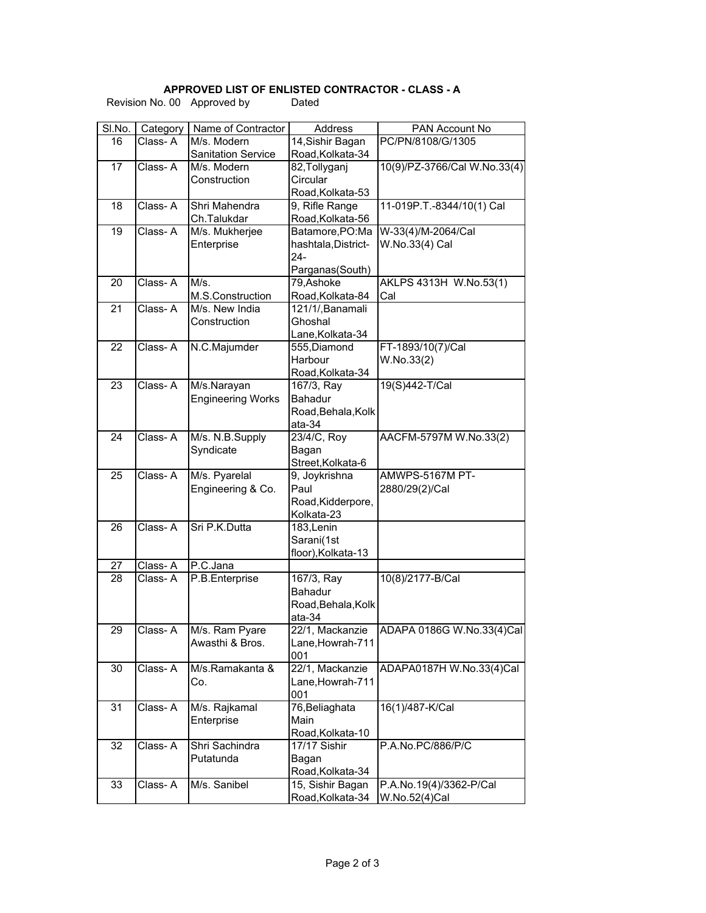## **APPROVED LIST OF ENLISTED CONTRACTOR - CLASS - A**

| Revision No. 00 Approved by |  |
|-----------------------------|--|
|-----------------------------|--|

Dated

| SI.No. |                     | Name of Contractor          | Address                              |                                     |
|--------|---------------------|-----------------------------|--------------------------------------|-------------------------------------|
| 16     | Category<br>Class-A | M/s. Modern                 |                                      | PAN Account No<br>PC/PN/8108/G/1305 |
|        |                     | <b>Sanitation Service</b>   | 14, Sishir Bagan<br>Road, Kolkata-34 |                                     |
| 17     | Class-A             | M/s. Modern                 | 82, Tollyganj                        | 10(9)/PZ-3766/Cal W.No.33(4)        |
|        |                     | Construction                | Circular                             |                                     |
|        |                     |                             |                                      |                                     |
| 18     | Class-A             | Shri Mahendra               | Road, Kolkata-53<br>9, Rifle Range   | 11-019P.T.-8344/10(1) Cal           |
|        |                     | Ch.Talukdar                 | Road, Kolkata-56                     |                                     |
| 19     | Class-A             | M/s. Mukherjee              | Batamore, PO: Ma                     | W-33(4)/M-2064/Cal                  |
|        |                     | Enterprise                  | hashtala, District-                  | W.No.33(4) Cal                      |
|        |                     |                             | 24-                                  |                                     |
|        |                     |                             | Parganas(South)                      |                                     |
| 20     | Class-A             | M/s.                        | 79, Ashoke                           | AKLPS 4313H W.No.53(1)              |
|        |                     | M.S.Construction            | Road, Kolkata-84                     | Cal                                 |
| 21     | Class-A             | M/s. New India              | 121/1/, Banamali                     |                                     |
|        |                     | Construction                | Ghoshal                              |                                     |
|        |                     |                             | Lane, Kolkata-34                     |                                     |
| 22     | Class-A             | N.C.Majumder                | 555, Diamond                         | FT-1893/10(7)/Cal                   |
|        |                     |                             | Harbour                              | W.No.33(2)                          |
|        |                     |                             | Road, Kolkata-34                     |                                     |
| 23     | Class-A             | M/s.Narayan                 | 167/3, Ray                           | 19(S)442-T/Cal                      |
|        |                     | <b>Engineering Works</b>    | <b>Bahadur</b>                       |                                     |
|        |                     |                             | Road, Behala, Kolk                   |                                     |
|        |                     |                             | ata-34                               |                                     |
| 24     | Class-A             | M/s. N.B.Supply             | 23/4/C, Roy                          | AACFM-5797M W.No.33(2)              |
|        |                     | Syndicate                   | Bagan                                |                                     |
|        |                     |                             | Street, Kolkata-6                    |                                     |
| 25     | Class-A             | M/s. Pyarelal               | 9, Joykrishna                        | AMWPS-5167M PT-                     |
|        |                     | Engineering & Co.           | Paul                                 | 2880/29(2)/Cal                      |
|        |                     |                             | Road, Kidderpore,                    |                                     |
|        |                     |                             | Kolkata-23                           |                                     |
| 26     | Class-A             | Sri P.K.Dutta               | 183, Lenin                           |                                     |
|        |                     |                             | Sarani(1st                           |                                     |
|        |                     |                             | floor), Kolkata-13                   |                                     |
| 27     | Class-A             | P.C.Jana                    |                                      |                                     |
| 28     | Class-A             | P.B.Enterprise              | 167/3, Ray                           | 10(8)/2177-B/Cal                    |
|        |                     |                             | Bahadur                              |                                     |
|        |                     |                             | Road, Behala, Kolk                   |                                     |
|        |                     |                             | ata-34                               |                                     |
| 29     | Class-A             | M/s. Ram Pyare              | 22/1, Mackanzie                      | ADAPA 0186G W.No.33(4)Cal           |
|        |                     | Awasthi & Bros.             | Lane, Howrah-711                     |                                     |
|        |                     |                             | 001                                  |                                     |
| 30     | Class-A             | M/s.Ramakanta &             | 22/1, Mackanzie                      | ADAPA0187H W.No.33(4)Cal            |
|        |                     | Co.                         | Lane, Howrah-711                     |                                     |
|        |                     |                             | 001                                  |                                     |
| 31     | Class-A             | M/s. Rajkamal               | 76, Beliaghata                       | 16(1)/487-K/Cal                     |
|        |                     | Enterprise                  | Main                                 |                                     |
|        |                     |                             | Road, Kolkata-10                     |                                     |
| 32     | Class-A             | Shri Sachindra<br>Putatunda | 17/17 Sishir                         | P.A.No.PC/886/P/C                   |
|        |                     |                             | Bagan<br>Road, Kolkata-34            |                                     |
|        | Class-A             |                             |                                      |                                     |
| 33     |                     | M/s. Sanibel                | 15, Sishir Bagan                     | P.A.No.19(4)/3362-P/Cal             |
|        |                     |                             | Road, Kolkata-34                     | W.No.52(4)Cal                       |